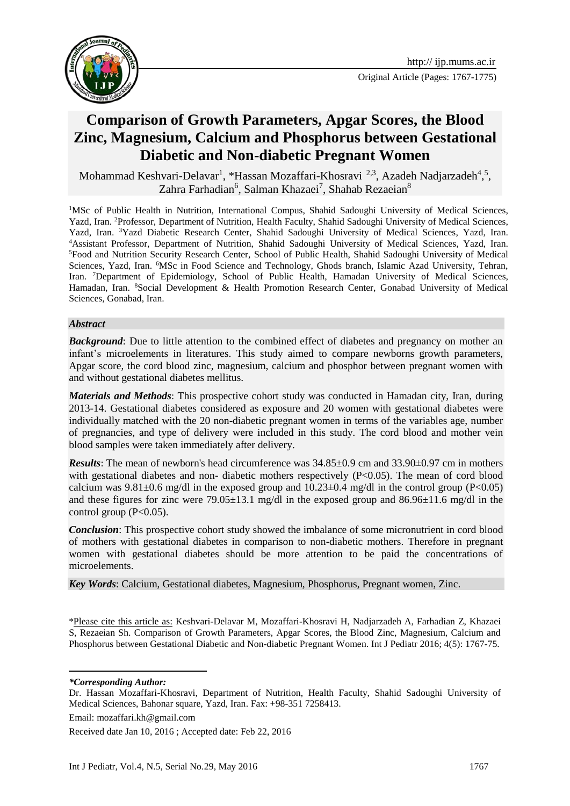

# **Comparison of Growth Parameters, Apgar Scores, the Blood Zinc, Magnesium, Calcium and Phosphorus between Gestational Diabetic and Non-diabetic Pregnant Women**

Mohammad Keshvari-Delavar<sup>1</sup>, \*Hassan Mozaffari-Khosravi <sup>2,3</sup>, Azadeh Nadjarzadeh<sup>4</sup>,<sup>5</sup>, Zahra Farhadian<sup>6</sup>, Salman Khazaei<sup>7</sup>, Shahab Rezaeian<sup>8</sup>

<sup>1</sup>MSc of Public Health in Nutrition, International Compus, Shahid Sadoughi University of Medical Sciences, Yazd, Iran. <sup>2</sup>Professor, Department of Nutrition, Health Faculty, Shahid Sadoughi University of Medical Sciences, Yazd, Iran. <sup>3</sup>Yazd Diabetic Research Center, Shahid Sadoughi University of Medical Sciences, Yazd, Iran. <sup>4</sup>Assistant Professor, Department of Nutrition, Shahid Sadoughi University of Medical Sciences, Yazd, Iran. <sup>5</sup>Food and Nutrition Security Research Center, School of Public Health, Shahid Sadoughi University of Medical Sciences, Yazd, Iran. <sup>6</sup>MSc in Food Science and Technology, Ghods branch, Islamic Azad University, Tehran, Iran. <sup>7</sup>Department of Epidemiology, School of Public Health, Hamadan University of Medical Sciences, Hamadan, Iran. <sup>8</sup>Social Development & Health Promotion Research Center, Gonabad University of Medical Sciences, Gonabad, Iran.

#### *Abstract*

**Background**: Due to little attention to the combined effect of diabetes and pregnancy on mother an infant's microelements in literatures. This study aimed to compare newborns growth parameters, Apgar score, the cord blood zinc, magnesium, calcium and phosphor between pregnant women with and without gestational diabetes mellitus.

*Materials and Methods*: This prospective cohort study was conducted in Hamadan city, Iran, during 2013-14. Gestational diabetes considered as exposure and 20 women with gestational diabetes were individually matched with the 20 non-diabetic pregnant women in terms of the variables age, number of pregnancies, and type of delivery were included in this study. The cord blood and mother vein blood samples were taken immediately after delivery.

*Results*: The mean of newborn's head circumference was 34.85±0.9 cm and 33.90±0.97 cm in mothers with gestational diabetes and non- diabetic mothers respectively  $(P< 0.05)$ . The mean of cord blood calcium was  $9.81\pm0.6$  mg/dl in the exposed group and  $10.23\pm0.4$  mg/dl in the control group (P<0.05) and these figures for zinc were 79.05 $\pm$ 13.1 mg/dl in the exposed group and 86.96 $\pm$ 11.6 mg/dl in the control group  $(P<0.05)$ .

*Conclusion*: This prospective cohort study showed the imbalance of some micronutrient in cord blood of mothers with gestational diabetes in comparison to non-diabetic mothers. Therefore in pregnant women with gestational diabetes should be more attention to be paid the concentrations of microelements.

*Key Words*: Calcium, Gestational diabetes, Magnesium, Phosphorus, Pregnant women, Zinc.

\*Please cite this article as: Keshvari-Delavar M, Mozaffari-Khosravi H, Nadjarzadeh A, Farhadian Z, Khazaei S, Rezaeian Sh. Comparison of Growth Parameters, Apgar Scores, the Blood Zinc, Magnesium, Calcium and Phosphorus between Gestational Diabetic and Non-diabetic Pregnant Women. Int J Pediatr 2016; 4(5): 1767-75.

**.** *\*Corresponding Author:*

Received date Jan 10, 2016 ; Accepted date: Feb 22, 2016

Dr. Hassan Mozaffari-Khosravi, Department of Nutrition, Health Faculty, Shahid Sadoughi University of Medical Sciences, Bahonar square, Yazd, Iran. Fax: +98-351 7258413.

Email: mozaffari.kh@gmail.com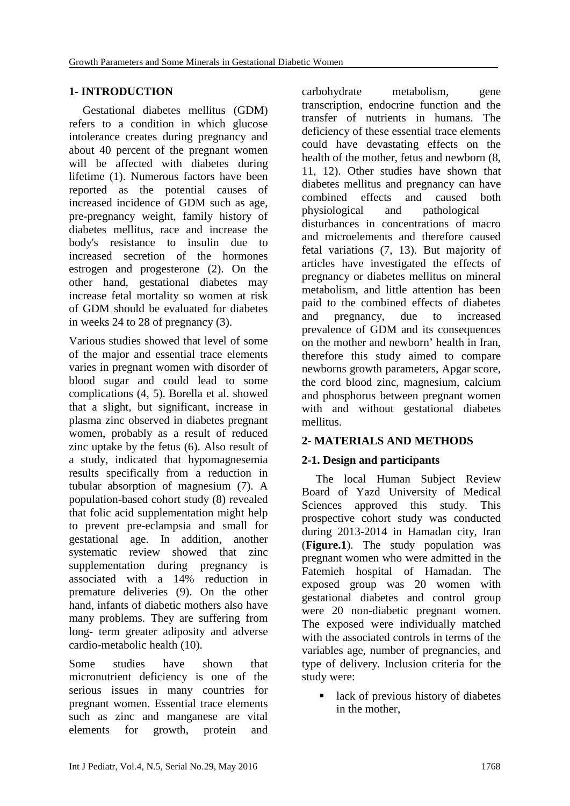### **1- INTRODUCTION**

Gestational diabetes mellitus (GDM) refers to a condition in which glucose intolerance creates during pregnancy and about 40 percent of the pregnant women will be affected with diabetes during lifetime [\(1\)](#page-7-0). Numerous factors have been reported as the potential causes of increased incidence of GDM such as age, pre-pregnancy weight, family history of diabetes mellitus, race and increase the body's resistance to insulin due to increased secretion of the hormones estrogen and progesterone [\(2\)](#page-7-1). On the other hand, gestational diabetes may increase fetal mortality so women at risk of GDM should be evaluated for diabetes in weeks 24 to 28 of pregnancy [\(3\)](#page-7-2).

Various studies showed that level of some of the major and essential trace elements varies in pregnant women with disorder of blood sugar and could lead to some complications [\(4,](#page-7-3) [5\)](#page-7-4). [Borella](http://www.sciencedirect.com/science/article/pii/004896979090212D) et al. showed that a slight, but significant, increase in plasma zinc observed in diabetes pregnant women, probably as a result of reduced zinc uptake by the fetus [\(6\)](#page-7-5). Also result of a study, indicated that hypomagnesemia results specifically from a reduction in tubular absorption of magnesium [\(7\)](#page-7-6). A population-based cohort study [\(8\)](#page-7-7) revealed that folic acid supplementation might help to prevent pre-eclampsia and small for gestational age. In addition, another systematic review showed that zinc supplementation during pregnancy is associated with a 14% reduction in premature deliveries [\(9\)](#page-7-8). On the other hand, infants of diabetic mothers also have many problems. They are suffering from long- term greater adiposity and adverse cardio-metabolic health [\(10\)](#page-7-9).

Some studies have shown that micronutrient deficiency is one of the serious issues in many countries for pregnant women. Essential trace elements such as zinc and manganese are vital elements for growth, protein and

carbohydrate metabolism, gene transcription, endocrine function and the transfer of nutrients in humans. The deficiency of these essential trace elements could have devastating effects on the health of the mother, fetus and newborn [\(8,](#page-7-7) [11,](#page-7-10) [12\)](#page-7-11). Other studies have shown that diabetes mellitus and pregnancy can have combined effects and caused both physiological and pathological disturbances in concentrations of macro and microelements and therefore caused fetal variations [\(7,](#page-7-6) [13\)](#page-7-12). But majority of articles have investigated the effects of pregnancy or diabetes mellitus on mineral metabolism, and little attention has been paid to the combined effects of diabetes and pregnancy, due to increased prevalence of GDM and its consequences on the mother and newborn' health in Iran, therefore this study aimed to compare newborns growth parameters, Apgar score, the cord blood zinc, magnesium, calcium and phosphorus between pregnant women with and without gestational diabetes mellitus.

# **2- MATERIALS AND METHODS**

# **2-1. Design and participants**

The local Human Subject Review Board of Yazd University of Medical Sciences approved this study. This prospective cohort study was conducted during 2013-2014 in Hamadan city, Iran (**Figure.1**). The study population was pregnant women who were admitted in the Fatemieh hospital of Hamadan. The exposed group was 20 women with gestational diabetes and control group were 20 non-diabetic pregnant women. The exposed were individually matched with the associated controls in terms of the variables age, number of pregnancies, and type of delivery. Inclusion criteria for the study were:

lack of previous history of diabetes in the mother,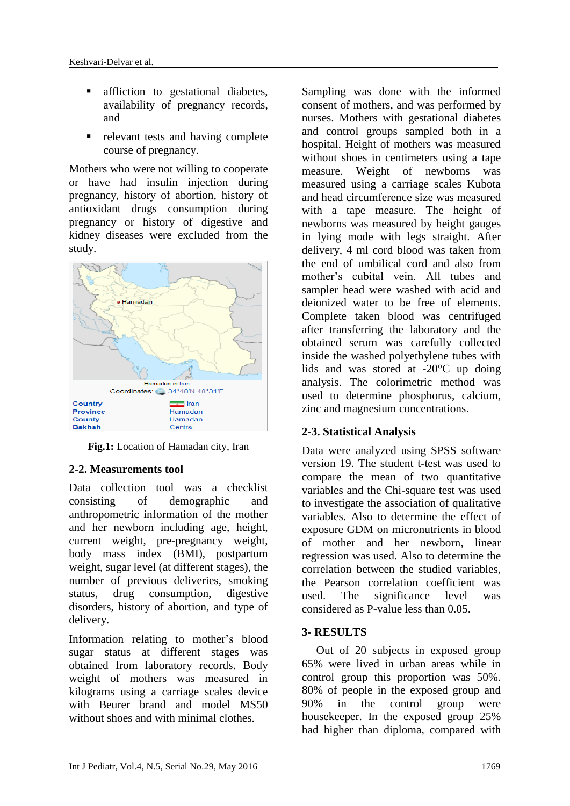- **affliction** to gestational diabetes, availability of pregnancy records, and
- relevant tests and having complete course of pregnancy.

Mothers who were not willing to cooperate or have had insulin injection during pregnancy, history of abortion, history of antioxidant drugs consumption during pregnancy or history of digestive and kidney diseases were excluded from the study.



**Fig.1:** Location of Hamadan city, Iran

# **2-2. Measurements tool**

Data collection tool was a checklist consisting of demographic and anthropometric information of the mother and her newborn including age, height, current weight, pre-pregnancy weight, body mass index (BMI), postpartum weight, sugar level (at different stages), the number of previous deliveries, smoking status, drug consumption, digestive disorders, history of abortion, and type of delivery.

Information relating to mother's blood sugar status at different stages was obtained from laboratory records. Body weight of mothers was measured in kilograms using a carriage scales device with Beurer brand and model MS50 without shoes and with minimal clothes.

Sampling was done with the informed consent of mothers, and was performed by nurses. Mothers with gestational diabetes and control groups sampled both in a hospital. Height of mothers was measured without shoes in centimeters using a tape measure. Weight of newborns was measured using a carriage scales Kubota and head circumference size was measured with a tape measure. The height of newborns was measured by height gauges in lying mode with legs straight. After delivery, 4 ml cord blood was taken from the end of umbilical cord and also from mother's cubital vein. All tubes and sampler head were washed with acid and deionized water to be free of elements. Complete taken blood was centrifuged after transferring the laboratory and the obtained serum was carefully collected inside the washed polyethylene tubes with lids and was stored at -20°C up doing analysis. The colorimetric method was used to determine phosphorus, calcium, zinc and magnesium concentrations.

# **2-3. Statistical Analysis**

Data were analyzed using SPSS software version 19. The student t-test was used to compare the mean of two quantitative variables and the Chi-square test was used to investigate the association of qualitative variables. Also to determine the effect of exposure GDM on micronutrients in blood of mother and her newborn, linear regression was used. Also to determine the correlation between the studied variables, the Pearson correlation coefficient was used. The significance level was considered as P-value less than 0.05.

# **3- RESULTS**

 Out of 20 subjects in exposed group 65% were lived in urban areas while in control group this proportion was 50%. 80% of people in the exposed group and 90% in the control group were housekeeper. In the exposed group 25% had higher than diploma, compared with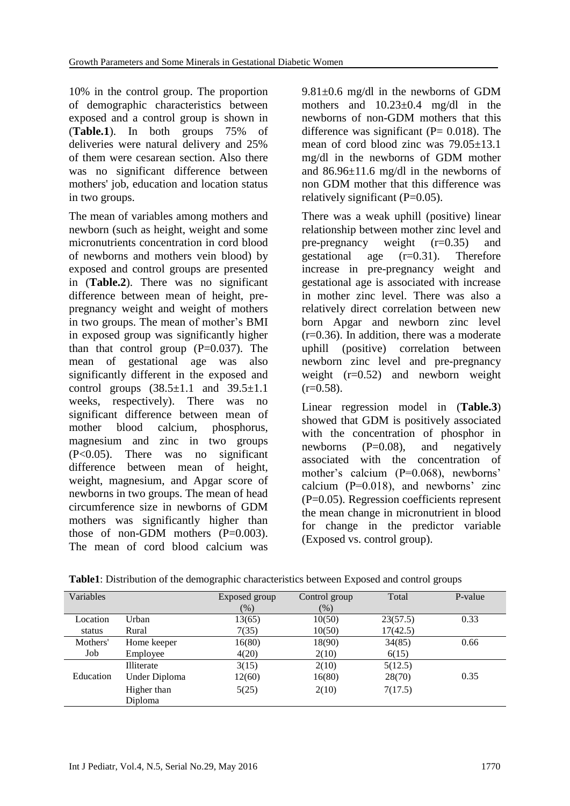10% in the control group. The proportion of demographic characteristics between exposed and a control group is shown in (**Table.1**). In both groups 75% of deliveries were natural delivery and 25% of them were cesarean section. Also there was no significant difference between mothers' job, education and location status in two groups.

The mean of variables among mothers and newborn (such as height, weight and some micronutrients concentration in cord blood of newborns and mothers vein blood) by exposed and control groups are presented in (**Table.2**). There was no significant difference between mean of height, prepregnancy weight and weight of mothers in two groups. The mean of mother's BMI in exposed group was significantly higher than that control group  $(P=0.037)$ . The mean of gestational age was also significantly different in the exposed and control groups  $(38.5 \pm 1.1 \text{ and } 39.5 \pm 1.1 \text{)}$ weeks, respectively). There was no significant difference between mean of mother blood calcium, phosphorus, magnesium and zinc in two groups (P<0.05). There was no significant difference between mean of height, weight, magnesium, and Apgar score of newborns in two groups. The mean of head circumference size in newborns of GDM mothers was significantly higher than those of non-GDM mothers  $(P=0.003)$ . The mean of cord blood calcium was  $9.81\pm0.6$  mg/dl in the newborns of GDM mothers and  $10.23 \pm 0.4$  mg/dl in the newborns of non-GDM mothers that this difference was significant ( $P = 0.018$ ). The mean of cord blood zinc was  $79.05 \pm 13.1$ mg/dl in the newborns of GDM mother and 86.96±11.6 mg/dl in the newborns of non GDM mother that this difference was relatively significant  $(P=0.05)$ .

There was a weak uphill (positive) linear relationship between mother zinc level and pre-pregnancy weight  $(r=0.35)$  and gestational age (r=0.31). Therefore increase in pre-pregnancy weight and gestational age is associated with increase in mother zinc level. There was also a relatively direct correlation between new born Apgar and newborn zinc level  $(r=0.36)$ . In addition, there was a moderate uphill (positive) correlation between newborn zinc level and pre-pregnancy weight  $(r=0.52)$  and newborn weight  $(r=0.58)$ .

Linear regression model in (**Table.3**) showed that GDM is positively associated with the concentration of phosphor in newborns  $(P=0.08)$ , and negatively associated with the concentration of mother's calcium (P=0.068), newborns' calcium (P=0.018), and newborns' zinc (P=0.05). Regression coefficients represent the mean change in micronutrient in blood for change in the predictor variable (Exposed vs. control group).

| Variables |                        | Exposed group<br>(% ) | Control group<br>$(\%)$ | Total    | P-value |
|-----------|------------------------|-----------------------|-------------------------|----------|---------|
| Location  | Urban                  | 13(65)                | 10(50)                  | 23(57.5) | 0.33    |
| status    | Rural                  | 7(35)                 | 10(50)                  | 17(42.5) |         |
| Mothers'  | Home keeper            | 16(80)                | 18(90)                  | 34(85)   | 0.66    |
| Job       | Employee               | 4(20)                 | 2(10)                   | 6(15)    |         |
|           | Illiterate             | 3(15)                 | 2(10)                   | 5(12.5)  |         |
| Education | Under Diploma          | 12(60)                | 16(80)                  | 28(70)   | 0.35    |
|           | Higher than<br>Diploma | 5(25)                 | 2(10)                   | 7(17.5)  |         |

**Table1**: Distribution of the demographic characteristics between Exposed and control groups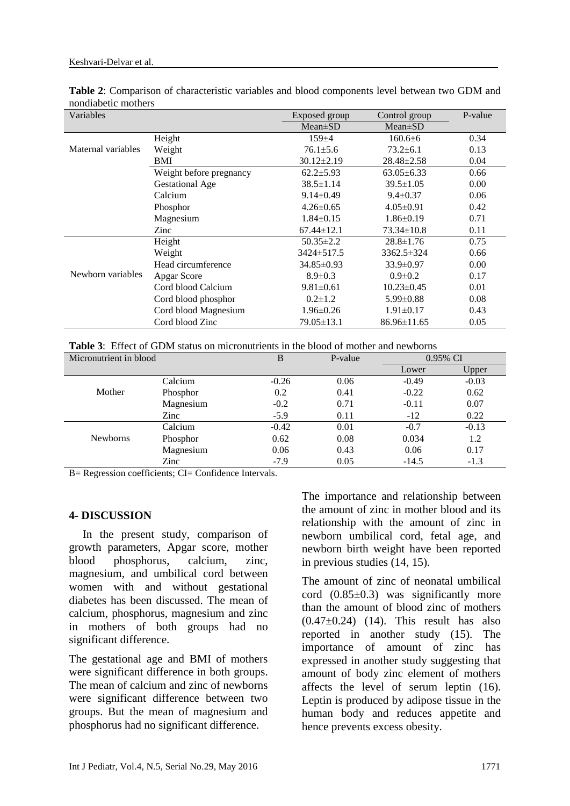| Table 2: Comparison of characteristic variables and blood components level betwean two GDM and |  |  |  |  |  |
|------------------------------------------------------------------------------------------------|--|--|--|--|--|
| nondiabetic mothers                                                                            |  |  |  |  |  |

| Variables          |                         | Exposed group    | Control group     | P-value |
|--------------------|-------------------------|------------------|-------------------|---------|
|                    |                         | $Mean \pm SD$    | $Mean \pm SD$     |         |
|                    | Height                  | $159 + 4$        | $160.6 \pm 6$     | 0.34    |
| Maternal variables | Weight                  | $76.1 \pm 5.6$   | $73.2 \pm 6.1$    | 0.13    |
|                    | BMI                     | $30.12 \pm 2.19$ | $28.48 \pm 2.58$  | 0.04    |
|                    | Weight before pregnancy | $62.2 \pm 5.93$  | $63.05 \pm 6.33$  | 0.66    |
|                    | <b>Gestational Age</b>  | $38.5 \pm 1.14$  | $39.5 \pm 1.05$   | 0.00    |
|                    | Calcium                 | $9.14 \pm 0.49$  | $9.4 \pm 0.37$    | 0.06    |
|                    | Phosphor                | $4.26 \pm 0.65$  | $4.05 \pm 0.91$   | 0.42    |
|                    | Magnesium               | $1.84 \pm 0.15$  | $1.86 \pm 0.19$   | 0.71    |
|                    | Zinc                    | $67.44 \pm 12.1$ | $73.34 \pm 10.8$  | 0.11    |
|                    | Height                  | $50.35 \pm 2.2$  | $28.8 \pm 1.76$   | 0.75    |
| Newborn variables  | Weight                  | 3424±517.5       | 3362.5±324        | 0.66    |
|                    | Head circumference      | 34.85±0.93       | $33.9 \pm 0.97$   | 0.00    |
|                    | Apgar Score             | $8.9 \pm 0.3$    | $0.9 \pm 0.2$     | 0.17    |
|                    | Cord blood Calcium      | $9.81 \pm 0.61$  | $10.23 \pm 0.45$  | 0.01    |
|                    | Cord blood phosphor     | $0.2 \pm 1.2$    | $5.99 \pm 0.88$   | 0.08    |
|                    | Cord blood Magnesium    | $1.96 \pm 0.26$  | $1.91 \pm 0.17$   | 0.43    |
|                    | Cord blood Zinc         | 79.05±13.1       | $86.96 \pm 11.65$ | 0.05    |

**Table 3**: Effect of GDM status on micronutrients in the blood of mother and newborns

| Micronutrient in blood |           | B       | P-value | 0.95% CI |         |
|------------------------|-----------|---------|---------|----------|---------|
|                        |           |         |         | Lower    | Upper   |
|                        | Calcium   | $-0.26$ | 0.06    | $-0.49$  | $-0.03$ |
| Mother                 | Phosphor  | 0.2     | 0.41    | $-0.22$  | 0.62    |
|                        | Magnesium | $-0.2$  | 0.71    | $-0.11$  | 0.07    |
|                        | Zinc      | $-5.9$  | 0.11    | $-12$    | 0.22    |
|                        | Calcium   | $-0.42$ | 0.01    | $-0.7$   | $-0.13$ |
| <b>Newborns</b>        | Phosphor  | 0.62    | 0.08    | 0.034    | 1.2     |
|                        | Magnesium | 0.06    | 0.43    | 0.06     | 0.17    |
|                        | Zinc      | $-7.9$  | 0.05    | $-14.5$  | $-1.3$  |

B= Regression coefficients; CI= Confidence Intervals.

#### **4- DISCUSSION**

In the present study, comparison of growth parameters, Apgar score, mother blood phosphorus, calcium, zinc, magnesium, and umbilical cord between women with and without gestational diabetes has been discussed. The mean of calcium, phosphorus, magnesium and zinc in mothers of both groups had no significant difference.

The gestational age and BMI of mothers were significant difference in both groups. The mean of calcium and zinc of newborns were significant difference between two groups. But the mean of magnesium and phosphorus had no significant difference.

The importance and relationship between the amount of zinc in mother blood and its relationship with the amount of zinc in newborn umbilical cord, fetal age, and newborn birth weight have been reported in previous studies [\(14,](#page-7-13) [15\)](#page-7-14).

The amount of zinc of neonatal umbilical cord  $(0.85\pm0.3)$  was significantly more than the amount of blood zinc of mothers  $(0.47\pm0.24)$  [\(14\)](#page-7-13). This result has also reported in another study [\(15\)](#page-7-14). The importance of amount of zinc has expressed in another study suggesting that amount of body zinc element of mothers affects the level of serum leptin [\(16\)](#page-7-15). Leptin is produced by adipose tissue in the human body and reduces appetite and hence prevents excess obesity.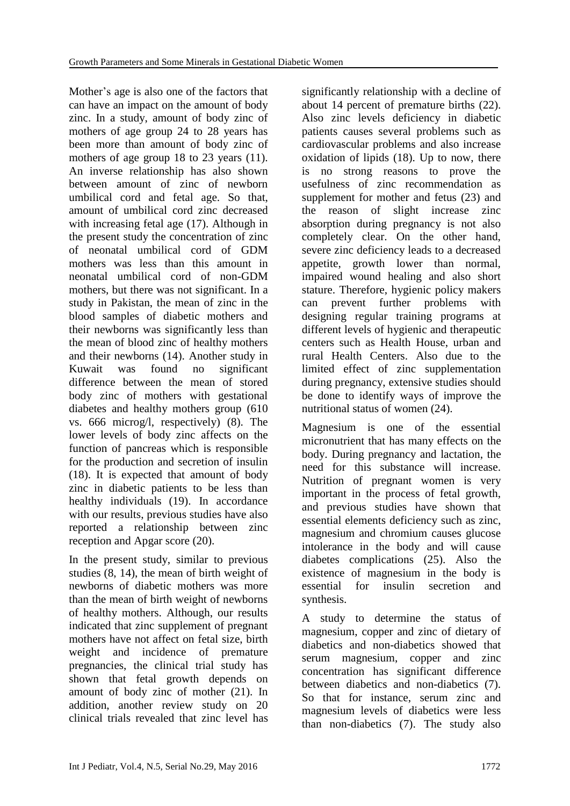Mother's age is also one of the factors that can have an impact on the amount of body zinc. In a study, amount of body zinc of mothers of age group 24 to 28 years has been more than amount of body zinc of mothers of age group 18 to 23 years [\(11\)](#page-7-10). An inverse relationship has also shown between amount of zinc of newborn umbilical cord and fetal age. So that, amount of umbilical cord zinc decreased with increasing fetal age [\(17\)](#page-7-16). Although in the present study the concentration of zinc of neonatal umbilical cord of GDM mothers was less than this amount in neonatal umbilical cord of non-GDM mothers, but there was not significant. In a study in Pakistan, the mean of zinc in the blood samples of diabetic mothers and their newborns was significantly less than the mean of blood zinc of healthy mothers and their newborns [\(14\)](#page-7-13). Another study in Kuwait was found no significant difference between the mean of stored body zinc of mothers with gestational diabetes and healthy mothers group (610 vs. 666 microg/l, respectively) [\(8\)](#page-7-7). The lower levels of body zinc affects on the function of pancreas which is responsible for the production and secretion of insulin [\(18\)](#page-7-17). It is expected that amount of body zinc in diabetic patients to be less than healthy individuals [\(19\)](#page-7-18). In accordance with our results, previous studies have also reported a relationship between zinc reception and Apgar score [\(20\)](#page-7-19).

In the present study, similar to previous studies [\(8,](#page-7-7) [14\)](#page-7-13), the mean of birth weight of newborns of diabetic mothers was more than the mean of birth weight of newborns of healthy mothers. Although, our results indicated that zinc supplement of pregnant mothers have not affect on fetal size, birth weight and incidence of premature pregnancies, the clinical trial study has shown that fetal growth depends on amount of body zinc of mother [\(21\)](#page-7-20). In addition, another review study on 20 clinical trials revealed that zinc level has

significantly relationship with a decline of about 14 percent of premature births [\(22\)](#page-8-0). Also zinc levels deficiency in diabetic patients causes several problems such as cardiovascular problems and also increase oxidation of lipids [\(18\)](#page-7-17). Up to now, there is no strong reasons to prove the usefulness of zinc recommendation as supplement for mother and fetus [\(23\)](#page-8-1) and the reason of slight increase zinc absorption during pregnancy is not also completely clear. On the other hand, severe zinc deficiency leads to a decreased appetite, growth lower than normal, impaired wound healing and also short stature. Therefore, hygienic policy makers can prevent further problems with designing regular training programs at different levels of hygienic and therapeutic centers such as Health House, urban and rural Health Centers. Also due to the limited effect of zinc supplementation during pregnancy, extensive studies should be done to identify ways of improve the nutritional status of women [\(24\)](#page-8-2).

Magnesium is one of the essential micronutrient that has many effects on the body. During pregnancy and lactation, the need for this substance will increase. Nutrition of pregnant women is very important in the process of fetal growth, and previous studies have shown that essential elements deficiency such as zinc, magnesium and chromium causes glucose intolerance in the body and will cause diabetes complications [\(25\)](#page-8-3). Also the existence of magnesium in the body is essential for insulin secretion and synthesis.

A study to determine the status of magnesium, copper and zinc of dietary of diabetics and non-diabetics showed that serum magnesium, copper and zinc concentration has significant difference between diabetics and non-diabetics [\(7\)](#page-7-6). So that for instance, serum zinc and magnesium levels of diabetics were less than non-diabetics [\(7\)](#page-7-6). The study also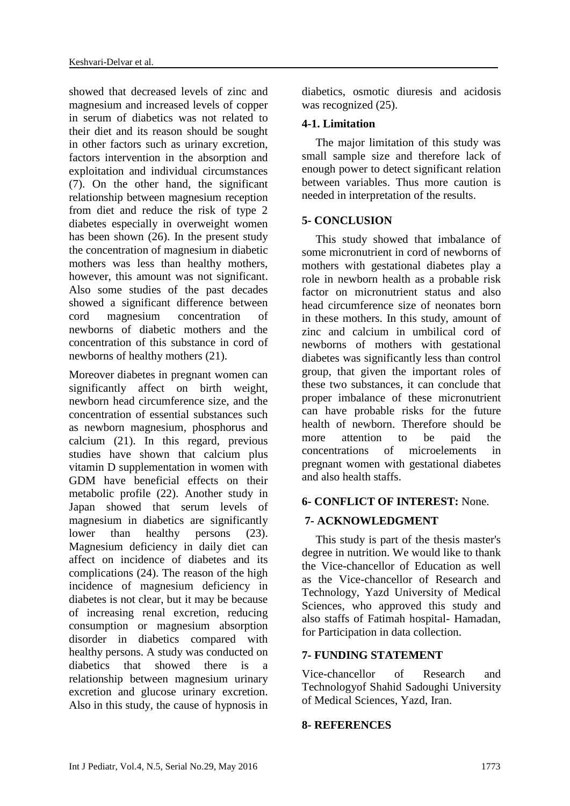showed that decreased levels of zinc and magnesium and increased levels of copper in serum of diabetics was not related to their diet and its reason should be sought in other factors such as urinary excretion, factors intervention in the absorption and exploitation and individual circumstances [\(7\)](#page-7-6). On the other hand, the significant relationship between magnesium reception from diet and reduce the risk of type 2 diabetes especially in overweight women has been shown [\(26\)](#page-8-4). In the present study the concentration of magnesium in diabetic mothers was less than healthy mothers, however, this amount was not significant. Also some studies of the past decades showed a significant difference between cord magnesium concentration of newborns of diabetic mothers and the concentration of this substance in cord of newborns of healthy mothers [\(21\)](#page-7-20).

Moreover diabetes in pregnant women can significantly affect on birth weight, newborn head circumference size, and the concentration of essential substances such as newborn magnesium, phosphorus and calcium [\(21\)](#page-7-20). In this regard, previous studies have shown that calcium plus vitamin D supplementation in women with GDM have beneficial effects on their metabolic profile [\(22\)](#page-8-0). Another study in Japan showed that serum levels of magnesium in diabetics are significantly lower than healthy persons [\(23\)](#page-8-1). Magnesium deficiency in daily diet can affect on incidence of diabetes and its complications [\(24\)](#page-8-2). The reason of the high incidence of magnesium deficiency in diabetes is not clear, but it may be because of increasing renal excretion, reducing consumption or magnesium absorption disorder in diabetics compared with healthy persons. A study was conducted on diabetics that showed there is a relationship between magnesium urinary excretion and glucose urinary excretion. Also in this study, the cause of hypnosis in diabetics, osmotic diuresis and acidosis was recognized  $(25)$ .

# **4-1. Limitation**

The major limitation of this study was small sample size and therefore lack of enough power to detect significant relation between variables. Thus more caution is needed in interpretation of the results.

# **5- CONCLUSION**

This study showed that imbalance of some micronutrient in cord of newborns of mothers with gestational diabetes play a role in newborn health as a probable risk factor on micronutrient status and also head circumference size of neonates born in these mothers. In this study, amount of zinc and calcium in umbilical cord of newborns of mothers with gestational diabetes was significantly less than control group, that given the important roles of these two substances, it can conclude that proper imbalance of these micronutrient can have probable risks for the future health of newborn. Therefore should be more attention to be paid the concentrations of microelements in pregnant women with gestational diabetes and also health staffs.

# **6- CONFLICT OF INTEREST:** None.

# **7- ACKNOWLEDGMENT**

This study is part of the thesis master's degree in nutrition. We would like to thank the Vice-chancellor of Education as well as the Vice-chancellor of Research and Technology, Yazd University of Medical Sciences, who approved this study and also staffs of Fatimah hospital- Hamadan, for Participation in data collection.

# **7- FUNDING STATEMENT**

Vice-chancellor of Research and Technologyof Shahid Sadoughi University of Medical Sciences, Yazd, Iran.

#### **8- REFERENCES**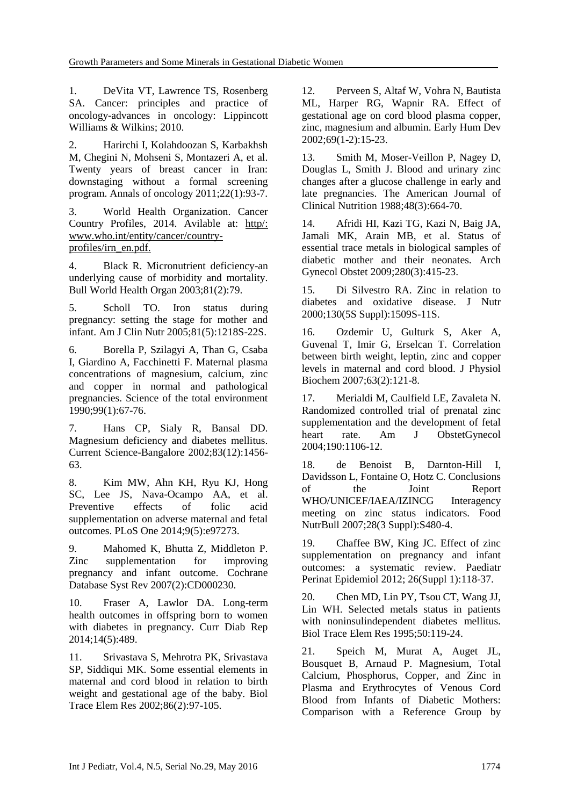<span id="page-7-0"></span>1. DeVita VT, Lawrence TS, Rosenberg SA. Cancer: principles and practice of oncology-advances in oncology: Lippincott Williams & Wilkins; 2010.

<span id="page-7-1"></span>2. Harirchi I, Kolahdoozan S, Karbakhsh M, Chegini N, Mohseni S, Montazeri A, et al. Twenty years of breast cancer in Iran: downstaging without a formal screening program. Annals of oncology 2011;22(1):93-7.

<span id="page-7-2"></span>3. World Health Organization. Cancer Country Profiles, 2014. Avilable at: http/: www.who.int/entity/cancer/countryprofiles/irn\_en.pdf.

<span id="page-7-3"></span>4. Black R. Micronutrient deficiency-an underlying cause of morbidity and mortality. Bull World Health Organ 2003;81(2):79.

<span id="page-7-4"></span>5. Scholl TO. Iron status during pregnancy: setting the stage for mother and infant. Am J Clin Nutr 2005;81(5):1218S-22S.

<span id="page-7-5"></span>6. Borella P, Szilagyi A, Than G, Csaba I, Giardino A, Facchinetti F. Maternal plasma concentrations of magnesium, calcium, zinc and copper in normal and pathological pregnancies. Science of the total environment 1990;99(1):67-76.

<span id="page-7-6"></span>7. Hans CP, Sialy R, Bansal DD. Magnesium deficiency and diabetes mellitus. Current Science-Bangalore 2002;83(12):1456- 63.

<span id="page-7-7"></span>8. Kim MW, Ahn KH, Ryu KJ, Hong SC, Lee JS, Nava-Ocampo AA, et al. Preventive effects of folic acid supplementation on adverse maternal and fetal outcomes. PLoS One 2014;9(5):e97273.

<span id="page-7-8"></span>9. Mahomed K, Bhutta Z, Middleton P. Zinc supplementation for improving pregnancy and infant outcome. Cochrane Database Syst Rev 2007(2):CD000230.

<span id="page-7-9"></span>10. Fraser A, Lawlor DA. Long-term health outcomes in offspring born to women with diabetes in pregnancy. Curr Diab Rep 2014;14(5):489.

<span id="page-7-10"></span>11. Srivastava S, Mehrotra PK, Srivastava SP, Siddiqui MK. Some essential elements in maternal and cord blood in relation to birth weight and gestational age of the baby. Biol Trace Elem Res 2002;86(2):97-105.

<span id="page-7-11"></span>12. Perveen S, Altaf W, Vohra N, Bautista ML, Harper RG, Wapnir RA. Effect of gestational age on cord blood plasma copper, zinc, magnesium and albumin. Early Hum Dev 2002;69(1-2):15-23.

<span id="page-7-12"></span>13. Smith M, Moser-Veillon P, Nagey D, Douglas L, Smith J. Blood and urinary zinc changes after a glucose challenge in early and late pregnancies. The American Journal of Clinical Nutrition 1988;48(3):664-70.

<span id="page-7-13"></span>14. Afridi HI, Kazi TG, Kazi N, Baig JA, Jamali MK, Arain MB, et al. Status of essential trace metals in biological samples of diabetic mother and their neonates. Arch Gynecol Obstet 2009;280(3):415-23.

<span id="page-7-14"></span>15. Di Silvestro RA. Zinc in relation to diabetes and oxidative disease. J Nutr 2000;130(5S Suppl):1509S-11S.

<span id="page-7-15"></span>16. Ozdemir U, Gulturk S, Aker A, Guvenal T, Imir G, Erselcan T. Correlation between birth weight, leptin, zinc and copper levels in maternal and cord blood. J Physiol Biochem 2007;63(2):121-8.

<span id="page-7-16"></span>17. Merialdi M, Caulfield LE, Zavaleta N. Randomized controlled trial of prenatal zinc supplementation and the development of fetal heart rate. Am J ObstetGynecol 2004;190:1106-12.

<span id="page-7-17"></span>18. de Benoist B, Darnton-Hill I, Davidsson L, Fontaine O, Hotz C. Conclusions of the Joint Report WHO/UNICEF/IAEA/IZINCG Interagency meeting on zinc status indicators. Food NutrBull 2007;28(3 Suppl):S480-4.

<span id="page-7-18"></span>19. Chaffee BW, King JC. Effect of zinc supplementation on pregnancy and infant outcomes: a systematic review. Paediatr Perinat Epidemiol 2012; 26(Suppl 1):118-37.

<span id="page-7-19"></span>20. Chen MD, Lin PY, Tsou CT, Wang JJ, Lin WH. Selected metals status in patients with noninsulindependent diabetes mellitus. Biol Trace Elem Res 1995;50:119-24.

<span id="page-7-20"></span>21. Speich M, Murat A, Auget JL, Bousquet B, Arnaud P. Magnesium, Total Calcium, Phosphorus, Copper, and Zinc in Plasma and Erythrocytes of Venous Cord Blood from Infants of Diabetic Mothers: Comparison with a Reference Group by